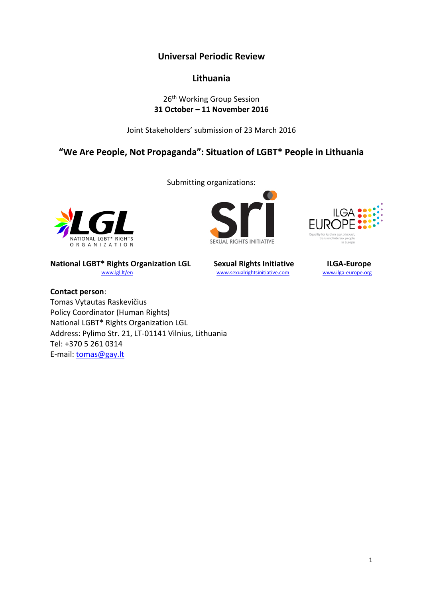**Universal Periodic Review**

# **Lithuania**

# 26<sup>th</sup> Working Group Session **31 October – 11 November 2016**

Joint Stakeholders' submission of 23 March 2016

**"We Are People, Not Propaganda": Situation of LGBT\* People in Lithuania**

Submitting organizations:

NATIONAL LGBT\* RIGHTS ORGANIZATION

**National LGBT\* Rights Organization LGL Sexual Rights Initiative Com and LGA-Europe**<br>
Wational LGBT\* Rights Organization LGL www.sexualrightsinitiative.com www.ilga-europe.org

**Contact person**: Tomas Vytautas Raskevičius Policy Coordinator (Human Rights) National LGBT\* Rights Organization LGL Address: Pylimo Str. 21, LT-01141 Vilnius, Lithuania Tel: +370 5 261 0314

E-mail: [tomas@gay.lt](mailto:tomas@gay.lt)

O **SEXUAL RIGHTS INITIATIVE** 



[www.sexualrightsinitiative.com](http://www.sexualrightsinitiative.com/) [www.ilga-europe.org](http://www.ilga-europe.org/)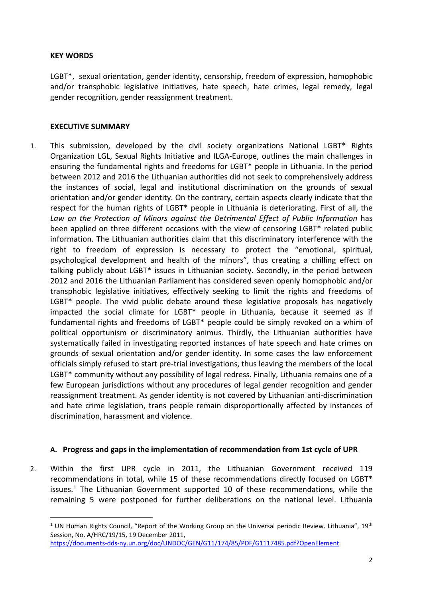#### **KEY WORDS**

LGBT\*, sexual orientation, gender identity, censorship, freedom of expression, homophobic and/or transphobic legislative initiatives, hate speech, hate crimes, legal remedy, legal gender recognition, gender reassignment treatment.

### **EXECUTIVE SUMMARY**

1. This submission, developed by the civil society organizations National LGBT\* Rights Organization LGL, Sexual Rights Initiative and ILGA-Europe, outlines the main challenges in ensuring the fundamental rights and freedoms for LGBT\* people in Lithuania. In the period between 2012 and 2016 the Lithuanian authorities did not seek to comprehensively address the instances of social, legal and institutional discrimination on the grounds of sexual orientation and/or gender identity. On the contrary, certain aspects clearly indicate that the respect for the human rights of LGBT\* people in Lithuania is deteriorating. First of all, the *Law on the Protection of Minors against the Detrimental Effect of Public Information* has been applied on three different occasions with the view of censoring LGBT\* related public information. The Lithuanian authorities claim that this discriminatory interference with the right to freedom of expression is necessary to protect the "emotional, spiritual, psychological development and health of the minors", thus creating a chilling effect on talking publicly about LGBT\* issues in Lithuanian society. Secondly, in the period between 2012 and 2016 the Lithuanian Parliament has considered seven openly homophobic and/or transphobic legislative initiatives, effectively seeking to limit the rights and freedoms of LGBT<sup>\*</sup> people. The vivid public debate around these legislative proposals has negatively impacted the social climate for LGBT\* people in Lithuania, because it seemed as if fundamental rights and freedoms of LGBT\* people could be simply revoked on a whim of political opportunism or discriminatory animus. Thirdly, the Lithuanian authorities have systematically failed in investigating reported instances of hate speech and hate crimes on grounds of sexual orientation and/or gender identity. In some cases the law enforcement officials simply refused to start pre-trial investigations, thus leaving the members of the local LGBT<sup>\*</sup> community without any possibility of legal redress. Finally, Lithuania remains one of a few European jurisdictions without any procedures of legal gender recognition and gender reassignment treatment. As gender identity is not covered by Lithuanian anti-discrimination and hate crime legislation, trans people remain disproportionally affected by instances of discrimination, harassment and violence.

#### **A. Progress and gaps in the implementation of recommendation from 1st cycle of UPR**

2. Within the first UPR cycle in 2011, the Lithuanian Government received 119 recommendations in total, while 15 of these recommendations directly focused on LGBT\* issues.<sup>[1](#page-1-0)</sup> The Lithuanian Government supported 10 of these recommendations, while the remaining 5 were postponed for further deliberations on the national level. Lithuania

<span id="page-1-0"></span> $1$  UN Human Rights Council, "Report of the Working Group on the Universal periodic Review. Lithuania", 19<sup>th</sup> Session, No. A/HRC/19/15, 19 December 2011, [https://documents-dds-ny.un.org/doc/UNDOC/GEN/G11/174/85/PDF/G1117485.pdf?OpenElement.](https://documents-dds-ny.un.org/doc/UNDOC/GEN/G11/174/85/PDF/G1117485.pdf?OpenElement)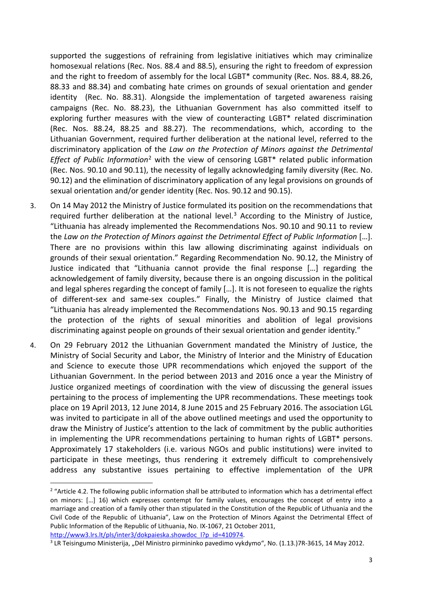supported the suggestions of refraining from legislative initiatives which may criminalize homosexual relations (Rec. Nos. 88.4 and 88.5), ensuring the right to freedom of expression and the right to freedom of assembly for the local LGBT\* community (Rec. Nos. 88.4, 88.26, 88.33 and 88.34) and combating hate crimes on grounds of sexual orientation and gender identity (Rec. No. 88.31). Alongside the implementation of targeted awareness raising campaigns (Rec. No. 88.23), the Lithuanian Government has also committed itself to exploring further measures with the view of counteracting LGBT\* related discrimination (Rec. Nos. 88.24, 88.25 and 88.27). The recommendations, which, according to the Lithuanian Government, required further deliberation at the national level, referred to the discriminatory application of the *Law on the Protection of Minors against the Detrimental Effect of Public Information*[2](#page-2-0) with the view of censoring LGBT\* related public information (Rec. Nos. 90.10 and 90.11), the necessity of legally acknowledging family diversity (Rec. No. 90.12) and the elimination of discriminatory application of any legal provisions on grounds of sexual orientation and/or gender identity (Rec. Nos. 90.12 and 90.15).

- 3. On 14 May 2012 the Ministry of Justice formulated its position on the recommendations that required further deliberation at the national level.<sup>[3](#page-2-1)</sup> According to the Ministry of Justice, "Lithuania has already implemented the Recommendations Nos. 90.10 and 90.11 to review the *Law on the Protection of Minors against the Detrimental Effect of Public Information* […]. There are no provisions within this law allowing discriminating against individuals on grounds of their sexual orientation." Regarding Recommendation No. 90.12, the Ministry of Justice indicated that "Lithuania cannot provide the final response […] regarding the acknowledgement of family diversity, because there is an ongoing discussion in the political and legal spheres regarding the concept of family […]. It is not foreseen to equalize the rights of different-sex and same-sex couples." Finally, the Ministry of Justice claimed that "Lithuania has already implemented the Recommendations Nos. 90.13 and 90.15 regarding the protection of the rights of sexual minorities and abolition of legal provisions discriminating against people on grounds of their sexual orientation and gender identity."
- 4. On 29 February 2012 the Lithuanian Government mandated the Ministry of Justice, the Ministry of Social Security and Labor, the Ministry of Interior and the Ministry of Education and Science to execute those UPR recommendations which enjoyed the support of the Lithuanian Government. In the period between 2013 and 2016 once a year the Ministry of Justice organized meetings of coordination with the view of discussing the general issues pertaining to the process of implementing the UPR recommendations. These meetings took place on 19 April 2013, 12 June 2014, 8 June 2015 and 25 February 2016. The association LGL was invited to participate in all of the above outlined meetings and used the opportunity to draw the Ministry of Justice's attention to the lack of commitment by the public authorities in implementing the UPR recommendations pertaining to human rights of LGBT\* persons. Approximately 17 stakeholders (i.e. various NGOs and public institutions) were invited to participate in these meetings, thus rendering it extremely difficult to comprehensively address any substantive issues pertaining to effective implementation of the UPR

<span id="page-2-0"></span><sup>&</sup>lt;sup>2</sup> "Article 4.2. The following public information shall be attributed to information which has a detrimental effect on minors: […] 16) which expresses contempt for family values, encourages the concept of entry into a marriage and creation of a family other than stipulated in the Constitution of the Republic of Lithuania and the Civil Code of the Republic of Lithuania", Law on the Protection of Minors Against the Detrimental Effect of Public Information of the Republic of Lithuania, No. IX-1067, 21 October 2011,

<span id="page-2-1"></span>

http://www3.lrs.lt/pls/inter3/dokpaieska.showdoc 1?p\_id=410974.<br><sup>3</sup> LR Teisingumo Ministerija, "Dėl Ministro pirmininko pavedimo vykdymo", No. (1.13.)7R-3615, 14 May 2012.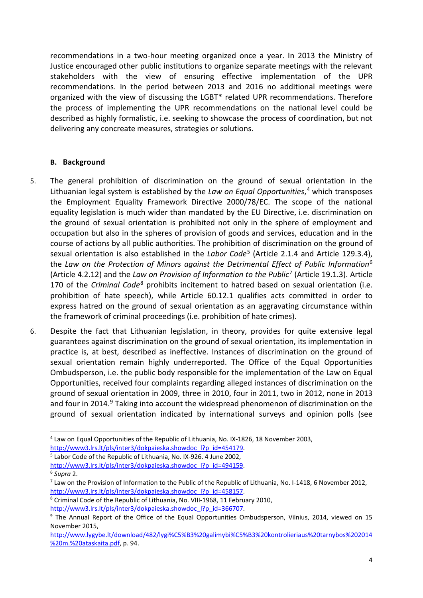recommendations in a two-hour meeting organized once a year. In 2013 the Ministry of Justice encouraged other public institutions to organize separate meetings with the relevant stakeholders with the view of ensuring effective implementation of the UPR recommendations. In the period between 2013 and 2016 no additional meetings were organized with the view of discussing the LGBT\* related UPR recommendations. Therefore the process of implementing the UPR recommendations on the national level could be described as highly formalistic, i.e. seeking to showcase the process of coordination, but not delivering any concreate measures, strategies or solutions.

## **B. Background**

- 5. The general prohibition of discrimination on the ground of sexual orientation in the Lithuanian legal system is established by the *Law on Equal Opportunities*, [4](#page-3-0) which transposes the Employment Equality Framework Directive 2000/78/EC. The scope of the national equality legislation is much wider than mandated by the EU Directive, i.e. discrimination on the ground of sexual orientation is prohibited not only in the sphere of employment and occupation but also in the spheres of provision of goods and services, education and in the course of actions by all public authorities. The prohibition of discrimination on the ground of sexual orientation is also established in the *Labor Code*[5](#page-3-1) (Article 2.1.4 and Article 129.3.4), the *Law on the Protection of Minors against the Detrimental Effect of Public Information*[6](#page-3-2) (Article 4.2.12) and the *Law on Provision of Information to the Public*[7](#page-3-3) (Article 19.1.3). Article 170 of the *Criminal Code*[8](#page-3-4) prohibits incitement to hatred based on sexual orientation (i.e. prohibition of hate speech), while Article 60.12.1 qualifies acts committed in order to express hatred on the ground of sexual orientation as an aggravating circumstance within the framework of criminal proceedings (i.e. prohibition of hate crimes).
- 6. Despite the fact that Lithuanian legislation, in theory, provides for quite extensive legal guarantees against discrimination on the ground of sexual orientation, its implementation in practice is, at best, described as ineffective. Instances of discrimination on the ground of sexual orientation remain highly underreported. The Office of the Equal Opportunities Ombudsperson, i.e. the public body responsible for the implementation of the Law on Equal Opportunities, received four complaints regarding alleged instances of discrimination on the ground of sexual orientation in 2009, three in 2010, four in 2011, two in 2012, none in 2013 and four in 2014.<sup>[9](#page-3-5)</sup> Taking into account the widespread phenomenon of discrimination on the ground of sexual orientation indicated by international surveys and opinion polls (see

<span id="page-3-0"></span> <sup>4</sup> Law on Equal Opportunities of the Republic of Lithuania, No. IX-1826, 18 November 2003,

http://www3.lrs.lt/pls/inter3/dokpaieska.showdoc\_l?p\_id=454179.<br><sup>5</sup> Labor Code of the Republic of Lithuania, No. IX-926. 4 June 2002,

<span id="page-3-1"></span>

<span id="page-3-2"></span>http://www3.lrs.lt/pls/inter3/dokpaieska.showdoc<sup>1</sup>?p\_id=494159.<br><sup>6</sup> Supra 2. *7* Law on the Provision of Information to the Public of the Republic of Lithuania, No. I-1418, 6 November 2012,

<span id="page-3-3"></span>http://www3.lrs.lt/pls/inter3/dokpaieska.showdoc\_l?p\_id=458157.<br><sup>8</sup> Criminal Code of the Republic of Lithuania, No. VIII-1968, 11 February 2010,

<span id="page-3-4"></span>

<span id="page-3-5"></span>

http://www3.lrs.lt/pls/inter3/dokpaieska.showdoc 1?p\_id=366707.<br><sup>9</sup> The Annual Report of the Office of the Equal Opportunities Ombudsperson, Vilnius, 2014, viewed on 15 November 2015,

[http://www.lygybe.lt/download/482/lygi%C5%B3%20galimybi%C5%B3%20kontrolieriaus%20tarnybos%202014](http://www.lygybe.lt/download/482/lygi%C5%B3%20galimybi%C5%B3%20kontrolieriaus%20tarnybos%202014%20m.%20ataskaita.pdf) [%20m.%20ataskaita.pdf,](http://www.lygybe.lt/download/482/lygi%C5%B3%20galimybi%C5%B3%20kontrolieriaus%20tarnybos%202014%20m.%20ataskaita.pdf) p. 94.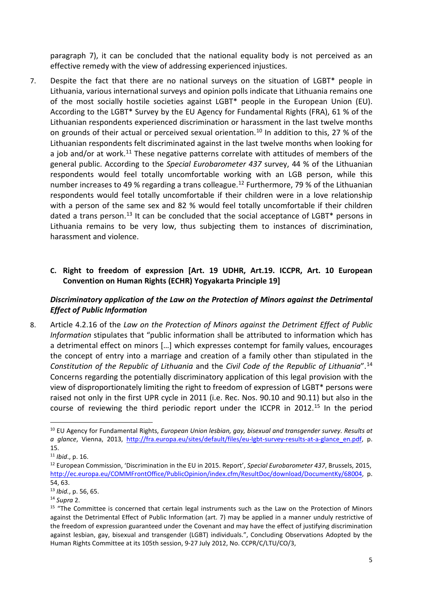paragraph 7), it can be concluded that the national equality body is not perceived as an effective remedy with the view of addressing experienced injustices.

7. Despite the fact that there are no national surveys on the situation of LGBT\* people in Lithuania, various international surveys and opinion polls indicate that Lithuania remains one of the most socially hostile societies against LGBT\* people in the European Union (EU). According to the LGBT\* Survey by the EU Agency for Fundamental Rights (FRA), 61 % of the Lithuanian respondents experienced discrimination or harassment in the last twelve months on grounds of their actual or perceived sexual orientation.<sup>[10](#page-4-0)</sup> In addition to this, 27 % of the Lithuanian respondents felt discriminated against in the last twelve months when looking for a job and/or at work.<sup>[11](#page-4-1)</sup> These negative patterns correlate with attitudes of members of the general public. According to the *Special Eurobarometer 437* survey, 44 % of the Lithuanian respondents would feel totally uncomfortable working with an LGB person, while this number increases to 49 % regarding a trans colleague.<sup>[12](#page-4-2)</sup> Furthermore, 79 % of the Lithuanian respondents would feel totally uncomfortable if their children were in a love relationship with a person of the same sex and 82 % would feel totally uncomfortable if their children dated a trans person.<sup>[13](#page-4-3)</sup> It can be concluded that the social acceptance of LGBT $*$  persons in Lithuania remains to be very low, thus subjecting them to instances of discrimination, harassment and violence.

# **C. Right to freedom of expression [Art. 19 UDHR, Art.19. ICCPR, Art. 10 European Convention on Human Rights (ECHR) Yogyakarta Principle 19]**

# *Discriminatory application of the Law on the Protection of Minors against the Detrimental Effect of Public Information*

8. Article 4.2.16 of the *Law on the Protection of Minors against the Detriment Effect of Public Information* stipulates that "public information shall be attributed to information which has a detrimental effect on minors […] which expresses contempt for family values, encourages the concept of entry into a marriage and creation of a family other than stipulated in the *Constitution of the Republic of Lithuania* and the *Civil Code of the Republic of Lithuania*".[14](#page-4-4) Concerns regarding the potentially discriminatory application of this legal provision with the view of disproportionately limiting the right to freedom of expression of LGBT\* persons were raised not only in the first UPR cycle in 2011 (i.e. Rec. Nos. 90.10 and 90.11) but also in the course of reviewing the third periodic report under the ICCPR in 2012.<sup>[15](#page-4-5)</sup> In the period

<span id="page-4-0"></span> <sup>10</sup> EU Agency for Fundamental Rights, *European Union lesbian, gay, bisexual and transgender survey. Results at a glance*, Vienna, 2013, [http://fra.europa.eu/sites/default/files/eu-lgbt-survey-results-at-a-glance\\_en.pdf,](http://fra.europa.eu/sites/default/files/eu-lgbt-survey-results-at-a-glance_en.pdf) p. 15.

<span id="page-4-1"></span><sup>11</sup> *Ibid*., p. 16.

<span id="page-4-2"></span><sup>12</sup> European Commission, 'Discrimination in the EU in 2015. Report', *Special Eurobarometer 437*, Brussels, 2015, [http://ec.europa.eu/COMMFrontOffice/PublicOpinion/index.cfm/ResultDoc/download/DocumentKy/68004,](http://ec.europa.eu/COMMFrontOffice/PublicOpinion/index.cfm/ResultDoc/download/DocumentKy/68004) p. 54, 63.

<span id="page-4-3"></span><sup>13</sup> *Ibid.*, p. 56, 65.

<span id="page-4-5"></span><span id="page-4-4"></span><sup>&</sup>lt;sup>14</sup> Supra 2.<br><sup>15</sup> "The Committee is concerned that certain legal instruments such as the Law on the Protection of Minors against the Detrimental Effect of Public Information (art. 7) may be applied in a manner unduly restrictive of the freedom of expression guaranteed under the Covenant and may have the effect of justifying discrimination against lesbian, gay, bisexual and transgender (LGBT) individuals.", Concluding Observations Adopted by the Human Rights Committee at its 105th session, 9-27 July 2012, No. CCPR/C/LTU/CO/3,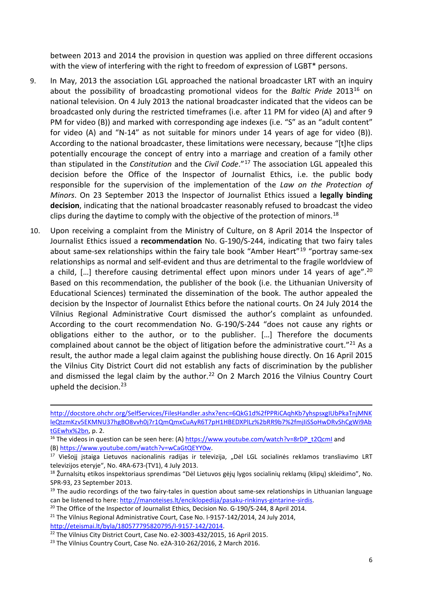between 2013 and 2014 the provision in question was applied on three different occasions with the view of interfering with the right to freedom of expression of LGBT\* persons.

- 9. In May, 2013 the association LGL approached the national broadcaster LRT with an inquiry about the possibility of broadcasting promotional videos for the *Baltic Pride* 2013[16](#page-5-0) on national television. On 4 July 2013 the national broadcaster indicated that the videos can be broadcasted only during the restricted timeframes (i.e. after 11 PM for video (A) and after 9 PM for video (B)) and marked with corresponding age indexes (i.e. "S" as an "adult content" for video (A) and "N-14" as not suitable for minors under 14 years of age for video (B)). According to the national broadcaster, these limitations were necessary, because "[t]he clips potentially encourage the concept of entry into a marriage and creation of a family other than stipulated in the *Constitution* and the *Civil Code*."[17](#page-5-1) The association LGL appealed this decision before the Office of the Inspector of Journalist Ethics, i.e. the public body responsible for the supervision of the implementation of the *Law on the Protection of Minors*. On 23 September 2013 the Inspector of Journalist Ethics issued a **legally binding decision**, indicating that the national broadcaster reasonably refused to broadcast the video clips during the daytime to comply with the objective of the protection of minors.<sup>[18](#page-5-2)</sup>
- 10. Upon receiving a complaint from the Ministry of Culture, on 8 April 2014 the Inspector of Journalist Ethics issued a **recommendation** No. G-190/S-244, indicating that two fairy tales about same-sex relationships within the fairy tale book "Amber Heart"<sup>19</sup> "portray same-sex relationships as normal and self-evident and thus are detrimental to the fragile worldview of a child,  $[...]$  therefore causing detrimental effect upon minors under 14 years of age".<sup>[20](#page-5-4)</sup> Based on this recommendation, the publisher of the book (i.e. the Lithuanian University of Educational Sciences) terminated the dissemination of the book. The author appealed the decision by the Inspector of Journalist Ethics before the national courts. On 24 July 2014 the Vilnius Regional Administrative Court dismissed the author's complaint as unfounded. According to the court recommendation No. G-190/S-244 "does not cause any rights or obligations either to the author, or to the publisher. […] Therefore the documents complained about cannot be the object of litigation before the administrative court."<sup>[21](#page-5-5)</sup> As a result, the author made a legal claim against the publishing house directly. On 16 April 2015 the Vilnius City District Court did not establish any facts of discrimination by the publisher and dismissed the legal claim by the author.<sup>[22](#page-5-6)</sup> On 2 March 2016 the Vilnius Country Court upheld the decision.[23](#page-5-7)

**.** 

[http://docstore.ohchr.org/SelfServices/FilesHandler.ashx?enc=6QkG1d%2fPPRiCAqhKb7yhspsxgIUbPkaTnjMNK](http://docstore.ohchr.org/SelfServices/FilesHandler.ashx?enc=6QkG1d%2fPPRiCAqhKb7yhspsxgIUbPkaTnjMNKleQtzmKzv5EKMNU37hgBO8vvh0j7r1QmQmxCuAyR6T7pH1HBEDXPlLz%2bRR9b7%2fmjIiSSoHwDRvShCgWi9AbtGEwhx%2bn) [leQtzmKzv5EKMNU37hgBO8vvh0j7r1QmQmxCuAyR6T7pH1HBEDXPlLz%2bRR9b7%2fmjIiSSoHwDRvShCgWi9Ab](http://docstore.ohchr.org/SelfServices/FilesHandler.ashx?enc=6QkG1d%2fPPRiCAqhKb7yhspsxgIUbPkaTnjMNKleQtzmKzv5EKMNU37hgBO8vvh0j7r1QmQmxCuAyR6T7pH1HBEDXPlLz%2bRR9b7%2fmjIiSSoHwDRvShCgWi9AbtGEwhx%2bn) [tGEwhx%2bn,](http://docstore.ohchr.org/SelfServices/FilesHandler.ashx?enc=6QkG1d%2fPPRiCAqhKb7yhspsxgIUbPkaTnjMNKleQtzmKzv5EKMNU37hgBO8vvh0j7r1QmQmxCuAyR6T7pH1HBEDXPlLz%2bRR9b7%2fmjIiSSoHwDRvShCgWi9AbtGEwhx%2bn) p. 2.

<span id="page-5-0"></span><sup>&</sup>lt;sup>16</sup> The videos in question can be seen here: (A) [https://www.youtube.com/watch?v=8rDP\\_t2QcmI](https://www.youtube.com/watch?v=8rDP_t2QcmI) and (B[\) https://www.youtube.com/watch?v=wCaGtQEYY0w.](https://www.youtube.com/watch?v=wCaGtQEYY0w)

<span id="page-5-1"></span><sup>&</sup>lt;sup>17</sup> Viešojį įstaiga Lietuvos nacionalinis radijas ir televizija, "Dėl LGL socialinės reklamos transliavimo LRT televizijos eteryje", No. 4RA-673-(TV1), 4 July 2013.

<span id="page-5-2"></span><sup>&</sup>lt;sup>18</sup> Žurnalsitų etikos inspektoriaus sprendimas "Dėl Lietuvos gėjų lygos socialinių reklamų (klipų) skleidimo", No. SPR-93, 23 September 2013.

<span id="page-5-3"></span><sup>&</sup>lt;sup>19</sup> The audio recordings of the two fairy-tales in question about same-sex relationships in Lithuanian language can be listened to here: [http://manoteises.lt/enciklopedija/pasaku-rinkinys-gintarine-sirdis.](http://manoteises.lt/enciklopedija/pasaku-rinkinys-gintarine-sirdis)<br><sup>20</sup> The Office of the Inspector of Journalist Ethics, Decision No. G-190/S-244, 8 April 2014.

<span id="page-5-4"></span><sup>&</sup>lt;sup>21</sup> The Vilnius Regional Administrative Court, Case No. I-9157-142/2014, 24 July 2014,

<span id="page-5-6"></span><span id="page-5-5"></span>[http://eteismai.lt/byla/180577795820795/I-9157-142/2014.](http://eteismai.lt/byla/180577795820795/I-9157-142/2014) 22 The Vilnius City District Court, Case No. e2-3003-432/2015, 16 April 2015.

<span id="page-5-7"></span><sup>&</sup>lt;sup>23</sup> The Vilnius Country Court, Case No. e2A-310-262/2016, 2 March 2016.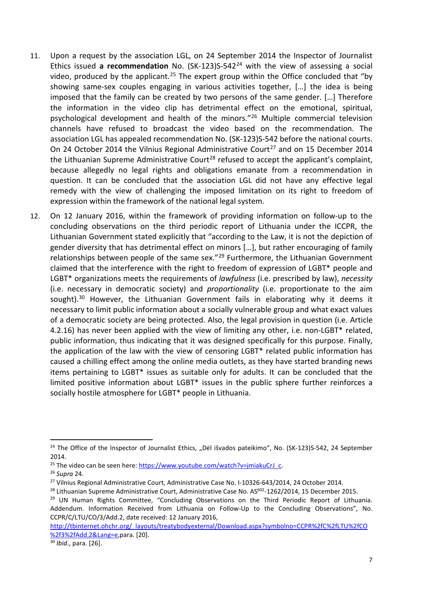- 11. Upon a request by the association LGL, on 24 September 2014 the Inspector of Journalist Ethics issued **a recommendation** No. (SK-123)S-542[24](#page-6-0) with the view of assessing a social video, produced by the applicant.<sup>[25](#page-6-1)</sup> The expert group within the Office concluded that "by showing same-sex couples engaging in various activities together, […] the idea is being imposed that the family can be created by two persons of the same gender. […] Therefore the information in the video clip has detrimental effect on the emotional, spiritual, psychological development and health of the minors."[26](#page-6-2) Multiple commercial television channels have refused to broadcast the video based on the recommendation. The association LGL has appealed recommendation No. (SK-123)S-542 before the national courts. On 24 October 2014 the Vilnius Regional Administrative Court<sup>[27](#page-6-3)</sup> and on 15 December 2014 the Lithuanian Supreme Administrative Court<sup>[28](#page-6-4)</sup> refused to accept the applicant's complaint, because allegedly no legal rights and obligations emanate from a recommendation in question. It can be concluded that the association LGL did not have any effective legal remedy with the view of challenging the imposed limitation on its right to freedom of expression within the framework of the national legal system.
- 12. On 12 January 2016, within the framework of providing information on follow-up to the concluding observations on the third periodic report of Lithuania under the ICCPR, the Lithuanian Government stated explicitly that "according to the Law, it is not the depiction of gender diversity that has detrimental effect on minors […], but rather encouraging of family relationships between people of the same sex." $^{29}$  $^{29}$  $^{29}$  Furthermore, the Lithuanian Government claimed that the interference with the right to freedom of expression of LGBT\* people and LGBT\* organizations meets the requirements of *lawfulness* (i.e. prescribed by law), *necessity* (i.e. necessary in democratic society) and *proportionality* (i.e. proportionate to the aim sought). $30$  However, the Lithuanian Government fails in elaborating why it deems it necessary to limit public information about a socially vulnerable group and what exact values of a democratic society are being protected. Also, the legal provision in question (i.e. Article 4.2.16) has never been applied with the view of limiting any other, i.e. non-LGBT\* related, public information, thus indicating that it was designed specifically for this purpose. Finally, the application of the law with the view of censoring LGBT\* related public information has caused a chilling effect among the online media outlets, as they have started branding news items pertaining to LGBT\* issues as suitable only for adults. It can be concluded that the limited positive information about LGBT\* issues in the public sphere further reinforces a socially hostile atmosphere for LGBT\* people in Lithuania.

<span id="page-6-6"></span>

<span id="page-6-0"></span><sup>&</sup>lt;sup>24</sup> The Office of the Inspector of Journalist Ethics, "Dėl išvados pateikimo", No. (SK-123)S-542, 24 September 2014.

<span id="page-6-1"></span><sup>&</sup>lt;sup>25</sup> The video can be seen here: [https://www.youtube.com/watch?v=jmiakuCrJ\\_c.](https://www.youtube.com/watch?v=jmiakuCrJ_c) <sup>26</sup> *Supra* 24.

<span id="page-6-2"></span>

<span id="page-6-3"></span><sup>&</sup>lt;sup>27</sup> Vilnius Regional Administrative Court, Administrative Case No. I-10326-643/2014, 24 October 2014.

<span id="page-6-4"></span><sup>&</sup>lt;sup>28</sup> Lithuanian Supreme Administrative Court, Administrative Case No. AS<sup>602</sup>-1262/2014, 15 December 2015.

<span id="page-6-5"></span><sup>&</sup>lt;sup>29</sup> UN Human Rights Committee, "Concluding Observations on the Third Periodic Report of Lithuania. Addendum. Information Received from Lithuania on Follow-Up to the Concluding Observations", No. CCPR/C/LTU/CO/3/Add.2, date received: 12 January 2016,

[http://tbinternet.ohchr.org/\\_layouts/treatybodyexternal/Download.aspx?symbolno=CCPR%2fC%2fLTU%2fCO](http://tbinternet.ohchr.org/_layouts/treatybodyexternal/Download.aspx?symbolno=CCPR%2fC%2fLTU%2fCO%2f3%2fAdd.2&Lang=e) [%2f3%2fAdd.2&Lang=e,](http://tbinternet.ohchr.org/_layouts/treatybodyexternal/Download.aspx?symbolno=CCPR%2fC%2fLTU%2fCO%2f3%2fAdd.2&Lang=e)para. [20]. 30 *Ibid*., para. [26].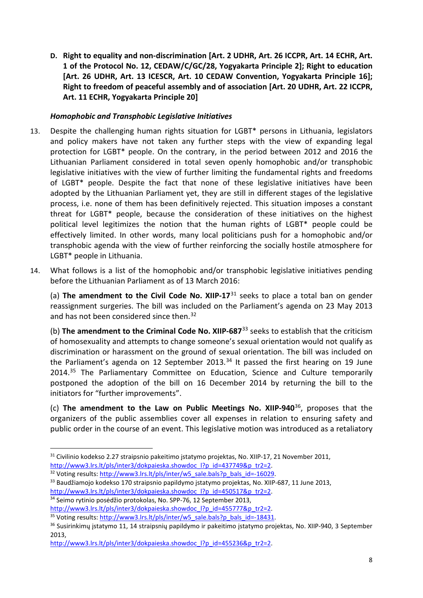**D. Right to equality and non-discrimination [Art. 2 UDHR, Art. 26 ICCPR, Art. 14 ECHR, Art. 1 of the Protocol No. 12, CEDAW/C/GC/28, Yogyakarta Principle 2]; Right to education [Art. 26 UDHR, Art. 13 ICESCR, Art. 10 CEDAW Convention, Yogyakarta Principle 16]; Right to freedom of peaceful assembly and of association [Art. 20 UDHR, Art. 22 ICCPR, Art. 11 ECHR, Yogyakarta Principle 20]**

## *Homophobic and Transphobic Legislative Initiatives*

- 13. Despite the challenging human rights situation for LGBT\* persons in Lithuania, legislators and policy makers have not taken any further steps with the view of expanding legal protection for LGBT\* people. On the contrary, in the period between 2012 and 2016 the Lithuanian Parliament considered in total seven openly homophobic and/or transphobic legislative initiatives with the view of further limiting the fundamental rights and freedoms of LGBT\* people. Despite the fact that none of these legislative initiatives have been adopted by the Lithuanian Parliament yet, they are still in different stages of the legislative process, i.e. none of them has been definitively rejected. This situation imposes a constant threat for LGBT\* people, because the consideration of these initiatives on the highest political level legitimizes the notion that the human rights of LGBT\* people could be effectively limited. In other words, many local politicians push for a homophobic and/or transphobic agenda with the view of further reinforcing the socially hostile atmosphere for LGBT\* people in Lithuania.
- 14. What follows is a list of the homophobic and/or transphobic legislative initiatives pending before the Lithuanian Parliament as of 13 March 2016:

(a) **The amendment to the Civil Code No. XIIP-17**[31](#page-7-0) seeks to place a total ban on gender reassignment surgeries. The bill was included on the Parliament's agenda on 23 May 2013 and has not been considered since then.<sup>[32](#page-7-1)</sup>

(b) **The amendment to the Criminal Code No. XIIP-687**[33](#page-7-2) seeks to establish that the criticism of homosexuality and attempts to change someone's sexual orientation would not qualify as discrimination or harassment on the ground of sexual orientation. The bill was included on the Parliament's agenda on 12 September 2013. $34$  It passed the first hearing on 19 June 2014.<sup>[35](#page-7-4)</sup> The Parliamentary Committee on Education, Science and Culture temporarily postponed the adoption of the bill on 16 December 2014 by returning the bill to the initiators for "further improvements".

(c) **The amendment to the Law on Public Meetings No. XIIP-940**[36](#page-7-5), proposes that the organizers of the public assemblies cover all expenses in relation to ensuring safety and public order in the course of an event. This legislative motion was introduced as a retaliatory

<span id="page-7-2"></span><sup>33</sup> Baudžiamojo kodekso 170 straipsnio papildymo jstatymo projektas, No. XIIP-687, 11 June 2013, http://www3.lrs.lt/pls/inter3/dokpaieska.showdoc l?p\_id=450517&p\_tr2=2. 34 Seimo rytinio posėdžio protokolas, No. SPP-76, 12 September 2013,

<span id="page-7-3"></span>

<span id="page-7-0"></span><sup>&</sup>lt;sup>31</sup> Civilinio kodekso 2.27 straipsnio pakeitimo įstatymo projektas, No. XIIP-17, 21 November 2011, http://www3.lrs.lt/pls/inter3/dokpaieska.showdoc I?p\_id=437749&p\_tr2=2.<br><sup>32</sup> Voting results: http://www3.lrs.lt/pls/inter/w5\_sale.bals?p\_bals\_id=-16029.

<span id="page-7-1"></span>

<span id="page-7-5"></span><span id="page-7-4"></span>

http://www3.lrs.lt/pls/inter3/dokpaieska.showdoc 1?p id=455777&p tr2=2.<br><sup>35</sup> Voting results: http://www3.lrs.lt/pls/inter/w5 sale.bals?p bals id=-18431.<br><sup>36</sup> Susirinkimy jstatymo 11, 14 straipsniy papildymo ir pakeitimo js 2013,

http://www3.lrs.lt/pls/inter3/dokpaieska.showdoc\_l?p\_id=455236&p\_tr2=2.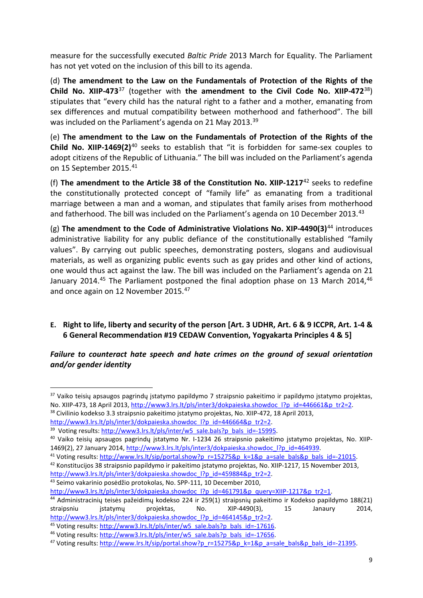measure for the successfully executed *Baltic Pride* 2013 March for Equality. The Parliament has not yet voted on the inclusion of this bill to its agenda.

(d) **The amendment to the Law on the Fundamentals of Protection of the Rights of the Child No. XIIP-473**[37](#page-8-0) (together with **the amendment to the Civil Code No. XIIP-472**[38\)](#page-8-1) stipulates that "every child has the natural right to a father and a mother, emanating from sex differences and mutual compatibility between motherhood and fatherhood". The bill was included on the Parliament's agenda on 21 May 2013.<sup>39</sup>

(e) **The amendment to the Law on the Fundamentals of Protection of the Rights of the Child No. XIIP-1469(2)**[40](#page-8-3) seeks to establish that "it is forbidden for same-sex couples to adopt citizens of the Republic of Lithuania." The bill was included on the Parliament's agenda on 15 September 2015[.41](#page-8-4)

(f) **The amendment to the Article 38 of the Constitution No. XIIP-1217**[42](#page-8-5) seeks to redefine the constitutionally protected concept of "family life" as emanating from a traditional marriage between a man and a woman, and stipulates that family arises from motherhood and fatherhood. The bill was included on the Parliament's agenda on 10 December 2013.<sup>[43](#page-8-6)</sup>

(g) **The amendment to the Code of Administrative Violations No. XIP-4490(3)**[44](#page-8-7) introduces administrative liability for any public defiance of the constitutionally established "family values". By carrying out public speeches, demonstrating posters, slogans and audiovisual materials, as well as organizing public events such as gay prides and other kind of actions, one would thus act against the law. The bill was included on the Parliament's agenda on 21 January 2014.<sup>[45](#page-8-8)</sup> The Parliament postponed the final adoption phase on 13 March 2014,<sup>[46](#page-8-9)</sup> and once again on 12 November 2015.<sup>[47](#page-8-10)</sup>

## **E. Right to life, liberty and security of the person [Art. 3 UDHR, Art. 6 & 9 ICCPR, Art. 1-4 & 6 General Recommendation #19 CEDAW Convention, Yogyakarta Principles 4 & 5]**

*Failure to counteract hate speech and hate crimes on the ground of sexual orientation and/or gender identity*

<span id="page-8-6"></span>

<span id="page-8-0"></span><sup>&</sup>lt;sup>37</sup> Vaiko teisių apsaugos pagrindų įstatymo papildymo 7 straipsnio pakeitimo ir papildymo įstatymo projektas, No. XIIP-473, 18 April 2013[, http://www3.lrs.lt/pls/inter3/dokpaieska.showdoc\\_l?p\\_id=446661&p\\_tr2=2.](http://www3.lrs.lt/pls/inter3/dokpaieska.showdoc_l?p_id=446661&p_tr2=2) 38 Civilinio kodekso 3.3 straipsnio pakeitimo įstatymo projektas, No. XIIP-472, 18 April 2013,

<span id="page-8-3"></span><span id="page-8-2"></span>

<span id="page-8-1"></span>http://www3.lrs.lt/pls/inter3/dokpaieska.showdoc 1?p id=446664&p tr2=2.<br><sup>39</sup> Voting results: [http://www3.lrs.lt/pls/inter/w5\\_sale.bals?p\\_bals\\_id=-15995.](http://www3.lrs.lt/pls/inter/w5_sale.bals?p_bals_id=-15995)<br><sup>40</sup> Vaiko teisių apsaugos pagrindų jstatymo Nr. 1-1234 26 straipsnio

<sup>1469(2), 27</sup> January 2014, [http://www3.lrs.lt/pls/inter3/dokpaieska.showdoc\\_l?p\\_id=464939.](http://www3.lrs.lt/pls/inter3/dokpaieska.showdoc_l?p_id=464939)<br><sup>41</sup> Voting results: http://www.lrs.lt/sip/portal.show?p\_r=15275&p\_k=1&p\_a=sale\_bals&p\_bals\_id=-21015.<br><sup>42</sup> Konstitucijos 38 straips

<span id="page-8-5"></span><span id="page-8-4"></span>

http://www3.lrs.lt/pls/inter3/dokpaieska.showdoc l?p\_id=459884&p\_tr2=2.<br><sup>43</sup> Seimo vakarinio posėdžio protokolas, No. SPP-111, 10 December 2010,

<span id="page-8-7"></span>http://www3.lrs.lt/pls/inter3/dokpaieska.showdoc 1?p\_id=461791&p\_query=XIIP-1217&p\_tr2=1.<br><sup>44</sup> Administracinių teisės pažeidimų kodekso 224 ir 259(1) straipsnių pakeitimo ir Kodekso papildymo 188(21) straipsniu įstatymų projektas, No. XIP-4490(3), 15 Janaury 2014,

<span id="page-8-8"></span>

<span id="page-8-10"></span><span id="page-8-9"></span>

http://www3.lrs.lt/pls/inter3/dokpaieska.showdoc 1?p id=464145&p tr2=2.<br><sup>45</sup> Voting results: <u>http://www3.lrs.lt/pls/inter/w5\_sale.bals?p\_bals\_id=-17616</u>.<br><sup>46</sup> Voting results: <u>http://www3.lrs.lt/pls/inter/w5\_sale.bals?p\_b</u>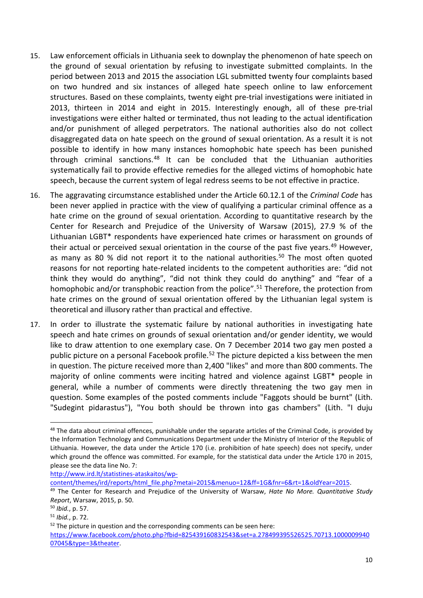- 15. Law enforcement officials in Lithuania seek to downplay the phenomenon of hate speech on the ground of sexual orientation by refusing to investigate submitted complaints. In the period between 2013 and 2015 the association LGL submitted twenty four complaints based on two hundred and six instances of alleged hate speech online to law enforcement structures. Based on these complaints, twenty eight pre-trial investigations were initiated in 2013, thirteen in 2014 and eight in 2015. Interestingly enough, all of these pre-trial investigations were either halted or terminated, thus not leading to the actual identification and/or punishment of alleged perpetrators. The national authorities also do not collect disaggregated data on hate speech on the ground of sexual orientation. As a result it is not possible to identify in how many instances homophobic hate speech has been punished through criminal sanctions. $48$  It can be concluded that the Lithuanian authorities systematically fail to provide effective remedies for the alleged victims of homophobic hate speech, because the current system of legal redress seems to be not effective in practice.
- 16. The aggravating circumstance established under the Article 60.12.1 of the *Criminal Code* has been never applied in practice with the view of qualifying a particular criminal offence as a hate crime on the ground of sexual orientation. According to quantitative research by the Center for Research and Prejudice of the University of Warsaw (2015), 27.9 % of the Lithuanian LGBT\* respondents have experienced hate crimes or harassment on grounds of their actual or perceived sexual orientation in the course of the past five years.<sup>[49](#page-9-1)</sup> However, as many as 80 % did not report it to the national authorities.<sup>[50](#page-9-2)</sup> The most often quoted reasons for not reporting hate-related incidents to the competent authorities are: "did not think they would do anything", "did not think they could do anything" and "fear of a homophobic and/or transphobic reaction from the police".<sup>[51](#page-9-3)</sup> Therefore, the protection from hate crimes on the ground of sexual orientation offered by the Lithuanian legal system is theoretical and illusory rather than practical and effective.
- 17. In order to illustrate the systematic failure by national authorities in investigating hate speech and hate crimes on grounds of sexual orientation and/or gender identity, we would like to draw attention to one exemplary case. On 7 December 2014 two gay men posted a public picture on a personal Facebook profile.<sup>[52](#page-9-4)</sup> The picture depicted a kiss between the men in question. The picture received more than 2,400 "likes" and more than 800 comments. The majority of online comments were inciting hatred and violence against LGBT\* people in general, while a number of comments were directly threatening the two gay men in question. Some examples of the posted comments include "Faggots should be burnt" (Lith. "Sudegint pidarastus"), "You both should be thrown into gas chambers" (Lith. "I duju

[http://www.ird.lt/statistines-ataskaitos/wp-](http://www.ird.lt/statistines-ataskaitos/wp-content/themes/ird/reports/html_file.php?metai=2015&menuo=12&ff=1G&fnr=6&rt=1&oldYear=2015)

[content/themes/ird/reports/html\\_file.php?metai=2015&menuo=12&ff=1G&fnr=6&rt=1&oldYear=2015.](http://www.ird.lt/statistines-ataskaitos/wp-content/themes/ird/reports/html_file.php?metai=2015&menuo=12&ff=1G&fnr=6&rt=1&oldYear=2015) 49 The Center for Research and Prejudice of the University of Warsaw, *Hate No More. Quantitative Study* 

<span id="page-9-0"></span><sup>&</sup>lt;sup>48</sup> The data about criminal offences, punishable under the separate articles of the Criminal Code, is provided by the Information Technology and Communications Department under the Ministry of Interior of the Republic of Lithuania. However, the data under the Article 170 (i.e. prohibition of hate speech) does not specify, under which ground the offence was committed. For example, for the statistical data under the Article 170 in 2015, please see the data line No. 7:

<span id="page-9-1"></span>*Report*, Warsaw, 2015, p. 50.

<span id="page-9-2"></span><sup>50</sup> *Ibid.*, p. 57.

<span id="page-9-3"></span><sup>51</sup> *Ibid.*, p. 72.

<span id="page-9-4"></span> $52$  The picture in question and the corresponding comments can be seen here:

[https://www.facebook.com/photo.php?fbid=825439160832543&set=a.278499395526525.70713.1000009940](https://www.facebook.com/photo.php?fbid=825439160832543&set=a.278499395526525.70713.100000994007045&type=3&theater) [07045&type=3&theater.](https://www.facebook.com/photo.php?fbid=825439160832543&set=a.278499395526525.70713.100000994007045&type=3&theater)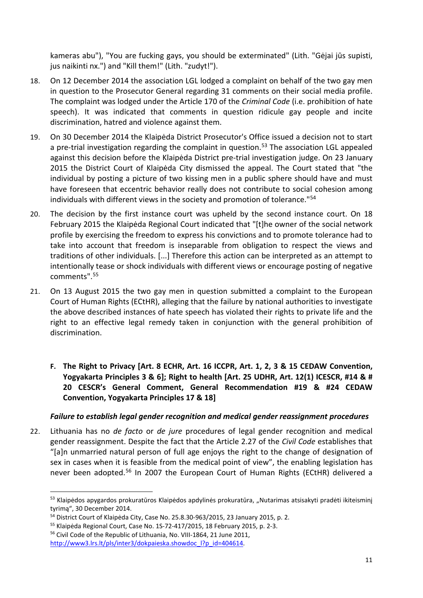kameras abu"), "You are fucking gays, you should be exterminated" (Lith. "Gėjai jūs supisti, jus naikinti nx.") and "Kill them!" (Lith. "zudyt!").

- 18. On 12 December 2014 the association LGL lodged a complaint on behalf of the two gay men in question to the Prosecutor General regarding 31 comments on their social media profile. The complaint was lodged under the Article 170 of the *Criminal Code* (i.e. prohibition of hate speech). It was indicated that comments in question ridicule gay people and incite discrimination, hatred and violence against them.
- 19. On 30 December 2014 the Klaipėda District Prosecutor's Office issued a decision not to start a pre-trial investigation regarding the complaint in question.<sup>[53](#page-10-0)</sup> The association LGL appealed against this decision before the Klaipėda District pre-trial investigation judge. On 23 January 2015 the District Court of Klaipėda City dismissed the appeal. The Court stated that "the individual by posting a picture of two kissing men in a public sphere should have and must have foreseen that eccentric behavior really does not contribute to social cohesion among individuals with different views in the society and promotion of tolerance."[54](#page-10-1)
- 20. The decision by the first instance court was upheld by the second instance court. On 18 February 2015 the Klaipėda Regional Court indicated that "[t]he owner of the social network profile by exercising the freedom to express his convictions and to promote tolerance had to take into account that freedom is inseparable from obligation to respect the views and traditions of other individuals. [...] Therefore this action can be interpreted as an attempt to intentionally tease or shock individuals with different views or encourage posting of negative comments".[55](#page-10-2)
- 21. On 13 August 2015 the two gay men in question submitted a complaint to the European Court of Human Rights (ECtHR), alleging that the failure by national authorities to investigate the above described instances of hate speech has violated their rights to private life and the right to an effective legal remedy taken in conjunction with the general prohibition of discrimination.
	- **F. The Right to Privacy [Art. 8 ECHR, Art. 16 ICCPR, Art. 1, 2, 3 & 15 CEDAW Convention, Yogyakarta Principles 3 & 6]; Right to health [Art. 25 UDHR, Art. 12(1) ICESCR, #14 & # 20 CESCR's General Comment, General Recommendation #19 & #24 CEDAW Convention, Yogyakarta Principles 17 & 18]**

## *Failure to establish legal gender recognition and medical gender reassignment procedures*

22. Lithuania has no *de facto* or *de jure* procedures of legal gender recognition and medical gender reassignment. Despite the fact that the Article 2.27 of the *Civil Code* establishes that "[a]n unmarried natural person of full age enjoys the right to the change of designation of sex in cases when it is feasible from the medical point of view", the enabling legislation has never been adopted.[56](#page-10-3) In 2007 the European Court of Human Rights (ECtHR) delivered a

<span id="page-10-0"></span><sup>&</sup>lt;sup>53</sup> Klaipėdos apygardos prokuratūros Klaipėdos apdylinės prokuratūra, "Nutarimas atsisakyti pradėti ikiteisminį tyrimą", 30 December 2014.

<span id="page-10-1"></span><sup>&</sup>lt;sup>54</sup> District Court of Klaipėda City, Case No. 25.8.30-963/2015, 23 January 2015, p. 2.<br><sup>55</sup> Klaipėda Regional Court, Case No. 1S-72-417/2015, 18 February 2015, p. 2-3.

<span id="page-10-2"></span>

<span id="page-10-3"></span><sup>56</sup> Civil Code of the Republic of Lithuania, No. VIII-1864, 21 June 2011,

http://www3.lrs.lt/pls/inter3/dokpaieska.showdoc\_l?p\_id=404614.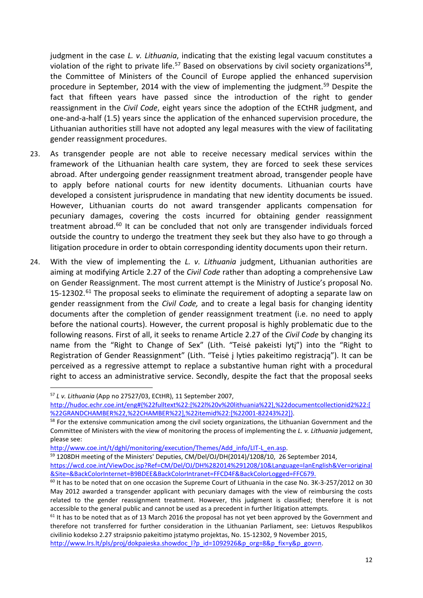judgment in the case *L. v. Lithuania*, indicating that the existing legal vacuum constitutes a violation of the right to private life.<sup>[57](#page-11-0)</sup> Based on observations by civil society organizations<sup>58</sup>, the Committee of Ministers of the Council of Europe applied the enhanced supervision procedure in September, 2014 with the view of implementing the judgment.<sup>[59](#page-11-2)</sup> Despite the fact that fifteen years have passed since the introduction of the right to gender reassignment in the *Civil Code*, eight years since the adoption of the ECtHR judgment, and one-and-a-half (1.5) years since the application of the enhanced supervision procedure, the Lithuanian authorities still have not adopted any legal measures with the view of facilitating gender reassignment procedures.

- 23. As transgender people are not able to receive necessary medical services within the framework of the Lithuanian health care system, they are forced to seek these services abroad. After undergoing gender reassignment treatment abroad, transgender people have to apply before national courts for new identity documents. Lithuanian courts have developed a consistent jurisprudence in mandating that new identity documents be issued. However, Lithuanian courts do not award transgender applicants compensation for pecuniary damages, covering the costs incurred for obtaining gender reassignment treatment abroad.<sup>[60](#page-11-3)</sup> It can be concluded that not only are transgender individuals forced outside the country to undergo the treatment they seek but they also have to go through a litigation procedure in order to obtain corresponding identity documents upon their return.
- 24. With the view of implementing the *L. v. Lithuania* judgment, Lithuanian authorities are aiming at modifying Article 2.27 of the *Civil Code* rather than adopting a comprehensive Law on Gender Reassignment. The most current attempt is the Ministry of Justice's proposal No. 15-12302.<sup>[61](#page-11-4)</sup> The proposal seeks to eliminate the requirement of adopting a separate law on gender reassignment from the *Civil Code,* and to create a legal basis for changing identity documents after the completion of gender reassignment treatment (i.e. no need to apply before the national courts). However, the current proposal is highly problematic due to the following reasons. First of all, it seeks to rename Article 2.27 of the *Civil Code* by changing its name from the "Right to Change of Sex" (Lith. "Teisė pakeisti lytį") into the "Right to Registration of Gender Reassignment" (Lith. "Teisė į lyties pakeitimo registracją"). It can be perceived as a regressive attempt to replace a substantive human right with a procedural right to access an administrative service. Secondly, despite the fact that the proposal seeks

<span id="page-11-0"></span> <sup>57</sup> *L v. Lithuania* (App no 27527/03, ECtHR), 11 September 2007,

[http://hudoc.echr.coe.int/eng#{%22fulltext%22:\[%22l%20v%20lithuania%22\],%22documentcollectionid2%22:\[](http://hudoc.echr.coe.int/eng#%7B%22fulltext%22:%5B%22l%20v%20lithuania%22%5D,%22documentcollectionid2%22:%5B%22GRANDCHAMBER%22,%22CHAMBER%22%5D,%22itemid%22:%5B%22001-82243%22%5D%7D) %22GRANDCHAMBER%22,%22CHAMBER%22],%22itemid%22:[%22001-82243%22]}.<br><sup>58</sup> For the extensive communication among the civil society organizations, the Lithuanian Government and the

<span id="page-11-1"></span>Committee of Ministers with the view of monitoring the process of implementing the *L. v. Lithuania* judgement, please see:

[http://www.coe.int/t/dghl/monitoring/execution/Themes/Add\\_info/LIT-L\\_en.asp.](http://www.coe.int/t/dghl/monitoring/execution/Themes/Add_info/LIT-L_en.asp)<br><sup>59</sup> 1208DH meeting of the Ministers' Deputies, CM/Del/OJ/DH(2014)/1208/10, 26 September 2014,

<span id="page-11-2"></span>[https://wcd.coe.int/ViewDoc.jsp?Ref=CM/Del/OJ/DH%282014%291208/10&Language=lanEnglish&Ver=original](https://wcd.coe.int/ViewDoc.jsp?Ref=CM/Del/OJ/DH%282014%291208/10&Language=lanEnglish&Ver=original&Site=&BackColorInternet=B9BDEE&BackColorIntranet=FFCD4F&BackColorLogged=FFC679) [&Site=&BackColorInternet=B9BDEE&BackColorIntranet=FFCD4F&BackColorLogged=FFC679.](https://wcd.coe.int/ViewDoc.jsp?Ref=CM/Del/OJ/DH%282014%291208/10&Language=lanEnglish&Ver=original&Site=&BackColorInternet=B9BDEE&BackColorIntranet=FFCD4F&BackColorLogged=FFC679)

<span id="page-11-3"></span> $60$  It has to be noted that on one occasion the Supreme Court of Lithuania in the case No. 3K-3-257/2012 on 30 May 2012 awarded a transgender applicant with pecuniary damages with the view of reimbursing the costs related to the gender reassignment treatment. However, this judgment is classified; therefore it is not accessible to the general public and cannot be used as a precedent in further litigation attempts.

<span id="page-11-4"></span> $61$  It has to be noted that as of 13 March 2016 the proposal has not yet been approved by the Government and therefore not transferred for further consideration in the Lithuanian Parliament, see: Lietuvos Respublikos civilinio kodekso 2.27 straipsnio pakeitimo įstatymo projektas, No. 15-12302, 9 November 2015,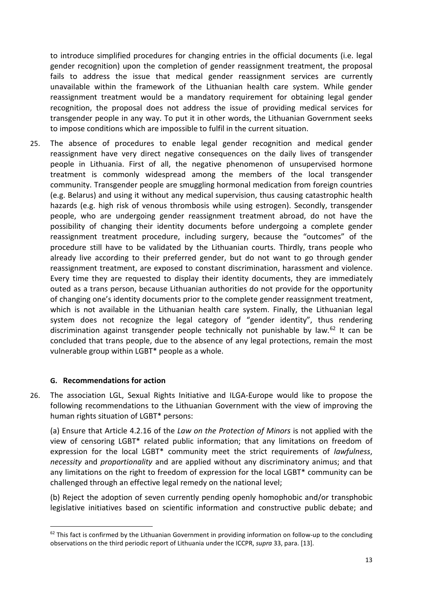to introduce simplified procedures for changing entries in the official documents (i.e. legal gender recognition) upon the completion of gender reassignment treatment, the proposal fails to address the issue that medical gender reassignment services are currently unavailable within the framework of the Lithuanian health care system. While gender reassignment treatment would be a mandatory requirement for obtaining legal gender recognition, the proposal does not address the issue of providing medical services for transgender people in any way. To put it in other words, the Lithuanian Government seeks to impose conditions which are impossible to fulfil in the current situation.

25. The absence of procedures to enable legal gender recognition and medical gender reassignment have very direct negative consequences on the daily lives of transgender people in Lithuania. First of all, the negative phenomenon of unsupervised hormone treatment is commonly widespread among the members of the local transgender community. Transgender people are smuggling hormonal medication from foreign countries (e.g. Belarus) and using it without any medical supervision, thus causing catastrophic health hazards (e.g. high risk of venous thrombosis while using estrogen). Secondly, transgender people, who are undergoing gender reassignment treatment abroad, do not have the possibility of changing their identity documents before undergoing a complete gender reassignment treatment procedure, including surgery, because the "outcomes" of the procedure still have to be validated by the Lithuanian courts. Thirdly, trans people who already live according to their preferred gender, but do not want to go through gender reassignment treatment, are exposed to constant discrimination, harassment and violence. Every time they are requested to display their identity documents, they are immediately outed as a trans person, because Lithuanian authorities do not provide for the opportunity of changing one's identity documents prior to the complete gender reassignment treatment, which is not available in the Lithuanian health care system. Finally, the Lithuanian legal system does not recognize the legal category of "gender identity", thus rendering discrimination against transgender people technically not punishable by law.<sup>[62](#page-12-0)</sup> It can be concluded that trans people, due to the absence of any legal protections, remain the most vulnerable group within LGBT\* people as a whole.

#### **G. Recommendations for action**

26. The association LGL, Sexual Rights Initiative and ILGA-Europe would like to propose the following recommendations to the Lithuanian Government with the view of improving the human rights situation of LGBT\* persons:

(a) Ensure that Article 4.2.16 of the *Law on the Protection of Minors* is not applied with the view of censoring LGBT\* related public information; that any limitations on freedom of expression for the local LGBT\* community meet the strict requirements of *lawfulness*, *necessity* and *proportionality* and are applied without any discriminatory animus; and that any limitations on the right to freedom of expression for the local LGBT\* community can be challenged through an effective legal remedy on the national level;

(b) Reject the adoption of seven currently pending openly homophobic and/or transphobic legislative initiatives based on scientific information and constructive public debate; and

<span id="page-12-0"></span><sup>&</sup>lt;sup>62</sup> This fact is confirmed by the Lithuanian Government in providing information on follow-up to the concluding observations on the third periodic report of Lithuania under the ICCPR, *supra* 33, para. [13].